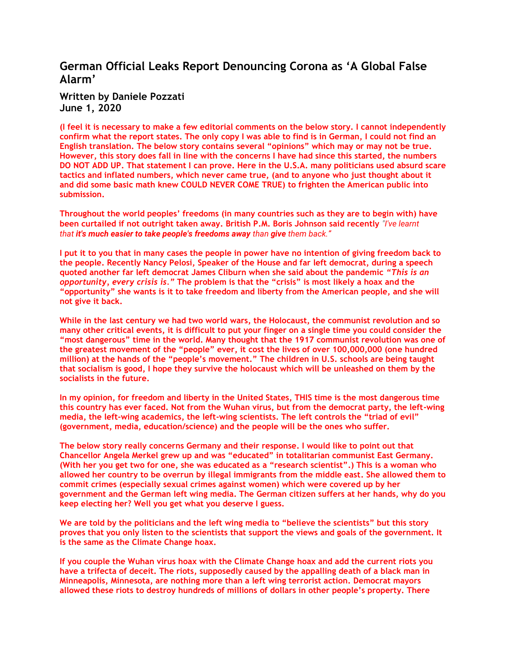## **German Official Le[aks Report Denouncing Corona as 'A Global False](http://www.ronpaulinstitute.org/archives/featured-articles/2020/june/01/german-official-leaks-report-denouncing-corona-as-a-global-false-alarm/)  [Alarm'](http://www.ronpaulinstitute.org/archives/featured-articles/2020/june/01/german-official-leaks-report-denouncing-corona-as-a-global-false-alarm/)**

## **Written by [Daniele Pozzati](http://www.ronpaulinstitute.org/archives/featured-articles/?author=Daniele+Pozzati) June 1, 2020**

**(I feel it is necessary to make a few editorial comments on the below story. I cannot independently confirm what the report states. The only copy I was able to find is in German, I could not find an English translation. The below story contains several "opinions" which may or may not be true. However, this story does fall in line with the concerns I have had since this started, the numbers DO NOT ADD UP. That statement I can prove. Here in the U.S.A. many politicians used absurd scare tactics and inflated numbers, which never came true, (and to anyone who just thought about it and did some basic math knew COULD NEVER COME TRUE) to frighten the American public into submission.** 

**Throughout the world peoples' freedoms (in many countries such as they are to begin with) have been curtailed if not outright taken away. British P.M. Boris Johnson said recently** *"I've learnt that it's much easier to take people's freedoms away than give them back."* 

**I put it to you that in many cases the people in power have no intention of giving freedom back to the people. Recently Nancy Pelosi, Speaker of the House and far left democrat, during a speech quoted another far left democrat James Cliburn when she said about the pandemic** *"This is an opportunity, every crisis is."* **The problem is that the "crisis" is most likely a hoax and the "opportunity" she wants is it to take freedom and liberty from the American people, and she will not give it back.**

**While in the last century we had two world wars, the Holocaust, the communist revolution and so many other critical events, it is difficult to put your finger on a single time you could consider the "most dangerous" time in the world. Many thought that the 1917 communist revolution was one of the greatest movement of the "people" ever, it cost the lives of over 100,000,000 (one hundred million) at the hands of the "people's movement." The children in U.S. schools are being taught that socialism is good, I hope they survive the holocaust which will be unleashed on them by the socialists in the future.**

**In my opinion, for freedom and liberty in the United States, THIS time is the most dangerous time this country has ever faced. Not from the Wuhan virus, but from the democrat party, the left-wing media, the left-wing academics, the left-wing scientists. The left controls the "triad of evil" (government, media, education/science) and the people will be the ones who suffer.**

**The below story really concerns Germany and their response. I would like to point out that Chancellor Angela Merkel grew up and was "educated" in totalitarian communist East Germany. (With her you get two for one, she was educated as a "research scientist".) This is a woman who allowed her country to be overrun by illegal immigrants from the middle east. She allowed them to commit crimes (especially sexual crimes against women) which were covered up by her government and the German left wing media. The German citizen suffers at her hands, why do you keep electing her? Well you get what you deserve I guess.**

**We are told by the politicians and the left wing media to "believe the scientists" but this story proves that you only listen to the scientists that support the views and goals of the government. It is the same as the Climate Change hoax.**

**If you couple the Wuhan virus hoax with the Climate Change hoax and add the current riots you have a trifecta of deceit. The riots, supposedly caused by the appalling death of a black man in Minneapolis, Minnesota, are nothing more than a left wing terrorist action. Democrat mayors allowed these riots to destroy hundreds of millions of dollars in other people's property. There**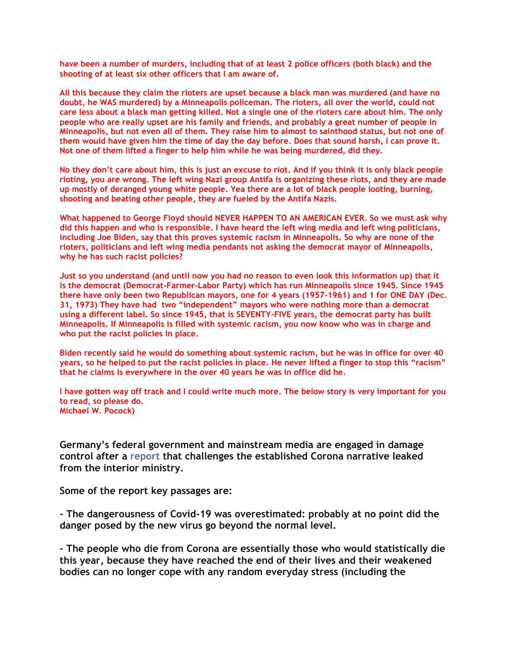**have been a number of murders, including that of at least 2 police officers (both black) and the shooting of at least six other officers that I am aware of.**

**All this because they claim the rioters are upset because a black man was murdered (and have no doubt, he WAS murdered) by a Minneapolis policeman. The rioters, all over the world, could not care less about a black man getting killed. Not a single one of the rioters care about him. The only people who are really upset are his family and friends, and probably a great number of people in Minneapolis, but not even all of them. They raise him to almost to sainthood status, but not one of them would have given him the time of day the day before. Does that sound harsh, I can prove it. Not one of them lifted a finger to help him while he was being murdered, did they.**

**No they don't care about him, this is just an excuse to riot. And if you think it is only black people rioting, you are wrong. The left wing Nazi group Antifa is organizing these riots, and they are made up mostly of deranged young white people. Yea there are a lot of black people looting, burning, shooting and beating other people, they are fueled by the Antifa Nazis.**

**What happened to George Floyd should NEVER HAPPEN TO AN AMERICAN EVER. So we must ask why did this happen and who is responsible. I have heard the left wing media and left wing politicians, including Joe Biden, say that this proves systemic racism in Minneapolis. So why are none of the rioters, politicians and left wing media pendants not asking the democrat mayor of Minneapolis, why he has such racist policies?** 

**Just so you understand (and until now you had no reason to even look this information up) that it is the democrat (Democrat-Farmer-Labor Party) which has run Minneapolis since 1945. Since 1945 there have only been two Republican mayors, one for 4 years (1957-1961) and 1 for ONE DAY (Dec. 31, 1973) They have had two "independent" mayors who were nothing more than a democrat using a different label. So since 1945, that is SEVENTY-FIVE years, the democrat party has built Minneapolis. If Minneapolis is filled with systemic racism, you now know who was in charge and who put the racist policies in place.**

**Biden recently said he would do something about systemic racism, but he was in office for over 40 years, so he helped to put the racist policies in place. He never lifted a finger to stop this "racism" that he claims is everywhere in the over 40 years he was in office did he.** 

**I have gotten way off track and I could write much more. The below story is very important for you to read, so please do. Michael W. Pocock)**

**Germany's federal government and mainstream media are engaged in damage control after a [report](https://www.ichbinanderermeinung.de/Dokument93.pdf) that challenges the established Corona narrative leaked from the interior ministry.**

**Some of the report key passages are:**

**- The dangerousness of Covid-19 was overestimated: probably at no point did the danger posed by the new virus go beyond the normal level.**

**- The people who die from Corona are essentially those who would statistically die this year, because they have reached the end of their lives and their weakened bodies can no longer cope with any random everyday stress (including the**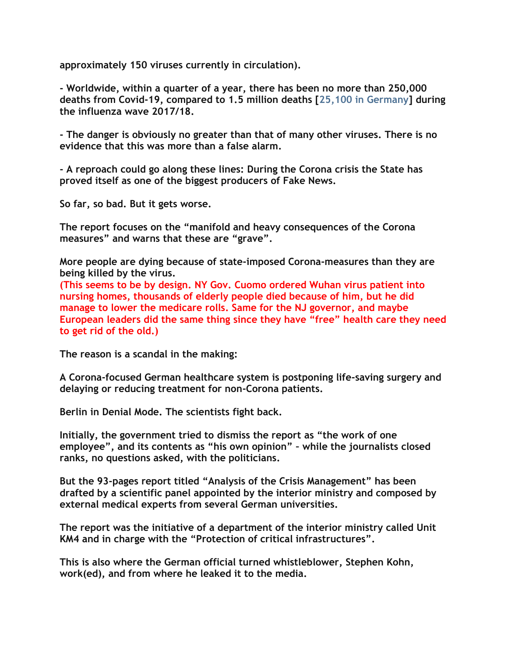**approximately 150 viruses currently in circulation).**

**- Worldwide, within a quarter of a year, there has been no more than 250,000 deaths from Covid-19, compared to 1.5 million deaths [\[25,100 in Germany\]](https://thegermanyeye.com/flu-vaccination-penultimate-wave-was-deadliest-in-30-years-3748) during the influenza wave 2017/18.**

**- The danger is obviously no greater than that of many other viruses. There is no evidence that this was more than a false alarm.**

**- A reproach could go along these lines: During the Corona crisis the State has proved itself as one of the biggest producers of Fake News.**

**So far, so bad. But it gets worse.**

**The report focuses on the "manifold and heavy consequences of the Corona measures" and warns that these are "grave".**

**More people are dying because of state-imposed Corona-measures than they are being killed by the virus.**

**(This seems to be by design. NY Gov. Cuomo ordered Wuhan virus patient into nursing homes, thousands of elderly people died because of him, but he did manage to lower the medicare rolls. Same for the NJ governor, and maybe European leaders did the same thing since they have "free" health care they need to get rid of the old.)**

**The reason is a scandal in the making:**

**A Corona-focused German healthcare system is postponing life-saving surgery and delaying or reducing treatment for non-Corona patients.**

**Berlin in Denial Mode. The scientists fight back.**

**Initially, the government tried to dismiss the report as "the work of one employee", and its contents as "his own opinion" – while the journalists closed ranks, no questions asked, with the politicians.**

**But the 93-pages report titled "Analysis of the Crisis Management" has been drafted by a scientific panel appointed by the interior ministry and composed by external medical experts from several German universities.**

**The report was the initiative of a department of the interior ministry called Unit KM4 and in charge with the "Protection of critical infrastructures".**

**This is also where the German official turned whistleblower, Stephen Kohn, work(ed), and from where he leaked it to the media.**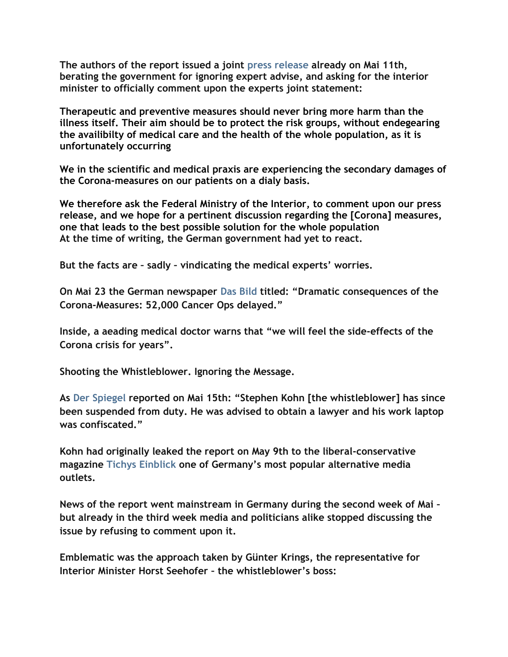**The authors of the report issued a joint [press release](https://deutsch.rt.com/inland/102396-umstrittene-bmi-analyse-wissenschaftler-kritisieren/) already on Mai 11th, berating the government for ignoring expert advise, and asking for the interior minister to officially comment upon the experts joint statement:**

**Therapeutic and preventive measures should never bring more harm than the illness itself. Their aim should be to protect the risk groups, without endegearing the availibilty of medical care and the health of the whole population, as it is unfortunately occurring**

**We in the scientific and medical praxis are experiencing the secondary damages of the Corona-measures on our patients on a dialy basis.**

**We therefore ask the Federal Ministry of the Interior, to comment upon our press release, and we hope for a pertinent discussion regarding the [Corona] measures, one that leads to the best possible solution for the whole population At the time of writing, the German government had yet to react.**

**But the facts are – sadly – vindicating the medical experts' worries.**

**On Mai 23 the German newspaper [Das Bild](https://www.bild.de/bild-plus/politik/inland/politik-inland/folgen-der-corona-massnahmen-52-000-krebs-ops-verschoben-70820748,view=conversionToLogin.bild.html) titled: "Dramatic consequences of the Corona-Measures: 52,000 Cancer Ops delayed."**

**Inside, a aeading medical doctor warns that "we will feel the side-effects of the Corona crisis for years".**

**Shooting the Whistleblower. Ignoring the Message.**

**As [Der Spiegel](https://www.spiegel.de/international/germany/berlin-fears-populists-will-exploit-protest-movement-a-3a4702b8-6701-401d-b712-6d3e19453a56) reported on Mai 15th: "Stephen Kohn [the whistleblower] has since been suspended from duty. He was advised to obtain a lawyer and his work laptop was confiscated."**

**Kohn had originally leaked the report on May 9th to the liberal-conservative magazine [Tichys Einblick](https://www.tichyseinblick.de/daili-es-sentials/exklusiv-auf-te-ein-vorwurf-koennte-lauten-der-staat-hat-sich-in-der-coronakrise-als-einer-der-groessten-fake-news-produzenten-erwiesen/) one of Germany's most popular alternative media outlets.**

**News of the report went mainstream in Germany during the second week of Mai – but already in the third week media and politicians alike stopped discussing the issue by refusing to comment upon it.**

**Emblematic was the approach taken by Günter Krings, the representative for Interior Minister Horst Seehofer – the whistleblower's boss:**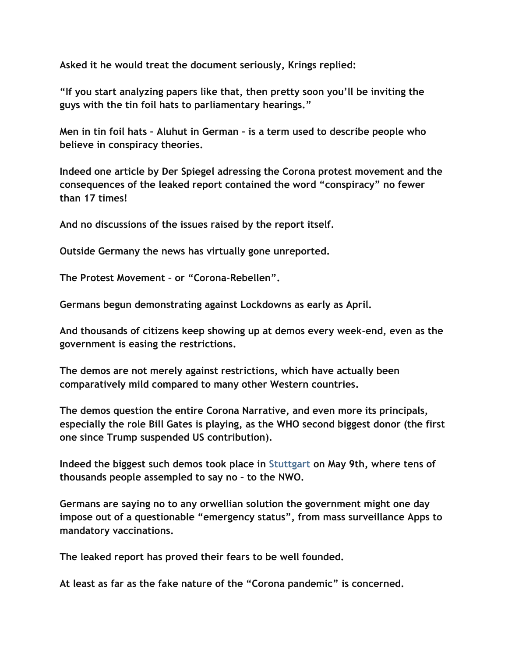**Asked it he would treat the document seriously, Krings replied:**

**"If you start analyzing papers like that, then pretty soon you'll be inviting the guys with the tin foil hats to parliamentary hearings."**

**Men in tin foil hats – Aluhut in German – is a term used to describe people who believe in conspiracy theories.**

**Indeed one article by Der Spiegel adressing the Corona protest movement and the consequences of the leaked report contained the word "conspiracy" no fewer than 17 times!**

**And no discussions of the issues raised by the report itself.**

**Outside Germany the news has virtually gone unreported.**

**The Protest Movement – or "Corona-Rebellen".**

**Germans begun demonstrating against Lockdowns as early as April.**

**And thousands of citizens keep showing up at demos every week-end, even as the government is easing the restrictions.**

**The demos are not merely against restrictions, which have actually been comparatively mild compared to many other Western countries.**

**The demos question the entire Corona Narrative, and even more its principals, especially the role Bill Gates is playing, as the WHO second biggest donor (the first one since Trump suspended US contribution).**

**Indeed the biggest such demos took place in [Stuttgart](https://www.swp.de/suedwesten/staedte/stuttgart/coronavirus-protest-demo-stuttgart-cannstatter-wasen-corona-polizei-46115752.html) on May 9th, where tens of thousands people assempled to say no – to the NWO.**

**Germans are saying no to any orwellian solution the government might one day impose out of a questionable "emergency status", from mass surveillance Apps to mandatory vaccinations.**

**The leaked report has proved their fears to be well founded.**

**At least as far as the fake nature of the "Corona pandemic" is concerned.**